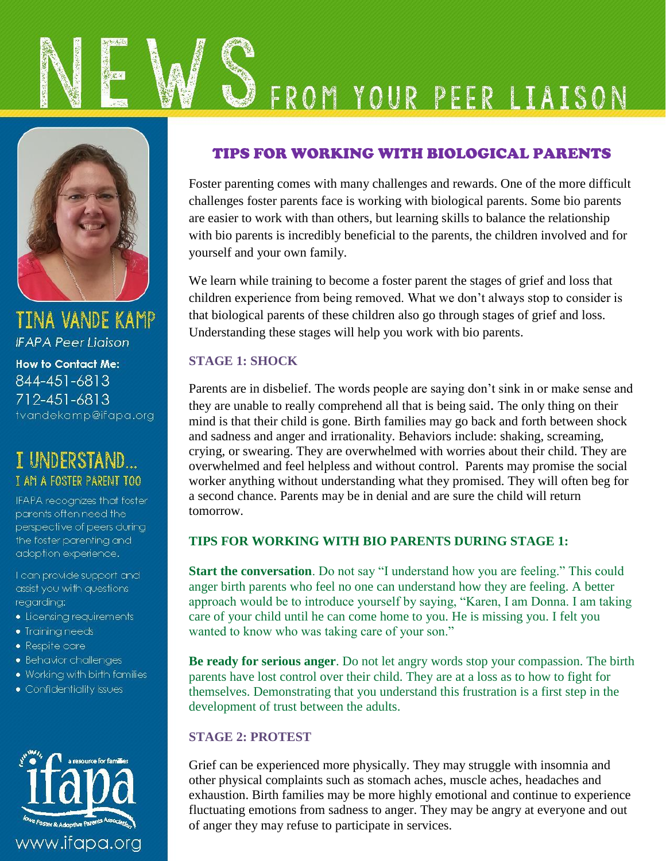



**TINA VANDE KAMP IFAPA Peer Ligison How to Contact Me:** 844-451-6813 712-451-6813 tvandekamp@ifapa.org



IFAPA recognizes that foster parents often need the perspective of peers during the foster parenting and adoption experience.

I can provide support and assist you with questions regarding:

- Licensing requirements
- · Training needs
- Respite care
- · Behavior challenges
- . Working with birth families
- Confidentiality issues



### TIPS FOR WORKING WITH BIOLOGICAL PARENTS

Foster parenting comes with many challenges and rewards. One of the more difficult challenges foster parents face is working with biological parents. Some bio parents are easier to work with than others, but learning skills to balance the relationship with bio parents is incredibly beneficial to the parents, the children involved and for yourself and your own family.

We learn while training to become a foster parent the stages of grief and loss that children experience from being removed. What we don't always stop to consider is that biological parents of these children also go through stages of grief and loss. Understanding these stages will help you work with bio parents.

### **STAGE 1: SHOCK**

Parents are in disbelief. The words people are saying don't sink in or make sense and they are unable to really comprehend all that is being said. The only thing on their mind is that their child is gone. Birth families may go back and forth between shock and sadness and anger and irrationality. Behaviors include: shaking, screaming, crying, or swearing. They are overwhelmed with worries about their child. They are overwhelmed and feel helpless and without control. Parents may promise the social worker anything without understanding what they promised. They will often beg for a second chance. Parents may be in denial and are sure the child will return tomorrow.

### **TIPS FOR WORKING WITH BIO PARENTS DURING STAGE 1:**

**Start the conversation**. Do not say "I understand how you are feeling." This could anger birth parents who feel no one can understand how they are feeling. A better approach would be to introduce yourself by saying, "Karen, I am Donna. I am taking care of your child until he can come home to you. He is missing you. I felt you wanted to know who was taking care of your son."

**Be ready for serious anger**. Do not let angry words stop your compassion. The birth parents have lost control over their child. They are at a loss as to how to fight for themselves. Demonstrating that you understand this frustration is a first step in the development of trust between the adults.

### **STAGE 2: PROTEST**

Grief can be experienced more physically. They may struggle with insomnia and other physical complaints such as stomach aches, muscle aches, headaches and exhaustion. Birth families may be more highly emotional and continue to experience fluctuating emotions from sadness to anger. They may be angry at everyone and out of anger they may refuse to participate in services.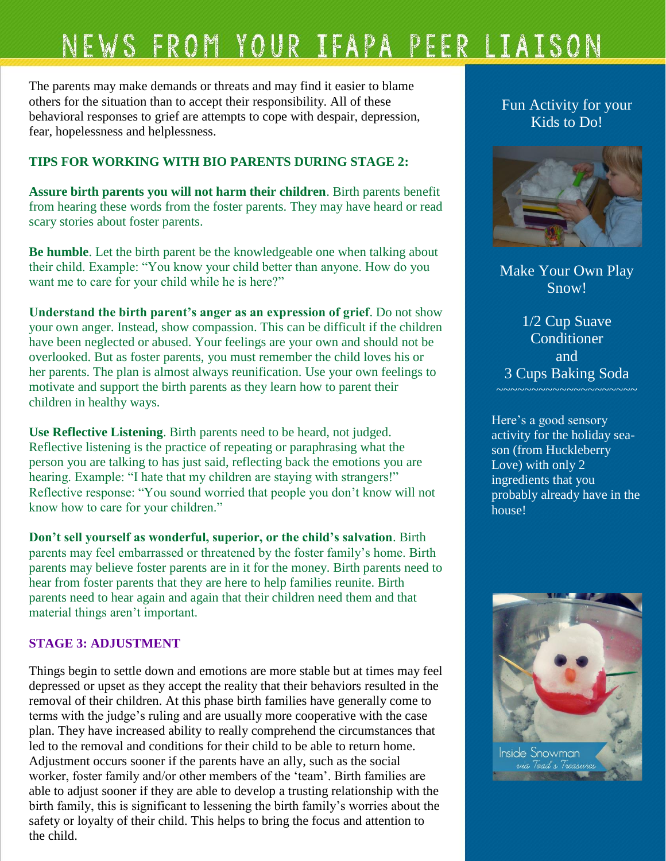## NEWS FROM YOUR IFAPA PEER LIAISON

The parents may make demands or threats and may find it easier to blame others for the situation than to accept their responsibility. All of these behavioral responses to grief are attempts to cope with despair, depression, fear, hopelessness and helplessness.

### **TIPS FOR WORKING WITH BIO PARENTS DURING STAGE 2:**

**Assure birth parents you will not harm their children**. Birth parents benefit from hearing these words from the foster parents. They may have heard or read scary stories about foster parents.

**Be humble**. Let the birth parent be the knowledgeable one when talking about their child. Example: "You know your child better than anyone. How do you want me to care for your child while he is here?"

**Understand the birth parent's anger as an expression of grief**. Do not show your own anger. Instead, show compassion. This can be difficult if the children have been neglected or abused. Your feelings are your own and should not be overlooked. But as foster parents, you must remember the child loves his or her parents. The plan is almost always reunification. Use your own feelings to motivate and support the birth parents as they learn how to parent their children in healthy ways.

**Use Reflective Listening**. Birth parents need to be heard, not judged. Reflective listening is the practice of repeating or paraphrasing what the person you are talking to has just said, reflecting back the emotions you are hearing. Example: "I hate that my children are staying with strangers!" Reflective response: "You sound worried that people you don't know will not know how to care for your children."

**Don't sell yourself as wonderful, superior, or the child's salvation**. Birth parents may feel embarrassed or threatened by the foster family's home. Birth parents may believe foster parents are in it for the money. Birth parents need to hear from foster parents that they are here to help families reunite. Birth parents need to hear again and again that their children need them and that material things aren't important.

### **STAGE 3: ADJUSTMENT**

Things begin to settle down and emotions are more stable but at times may feel depressed or upset as they accept the reality that their behaviors resulted in the removal of their children. At this phase birth families have generally come to terms with the judge's ruling and are usually more cooperative with the case plan. They have increased ability to really comprehend the circumstances that led to the removal and conditions for their child to be able to return home. Adjustment occurs sooner if the parents have an ally, such as the social worker, foster family and/or other members of the 'team'. Birth families are able to adjust sooner if they are able to develop a trusting relationship with the birth family, this is significant to lessening the birth family's worries about the safety or loyalty of their child. This helps to bring the focus and attention to the child.

### Fun Activity for your Kids to Do!



Make Your Own Play Snow!

1/2 Cup Suave **Conditioner** and 3 Cups Baking Soda

Here's a good sensory activity for the holiday season (from Huckleberry Love) with only 2 ingredients that you probably already have in the house!